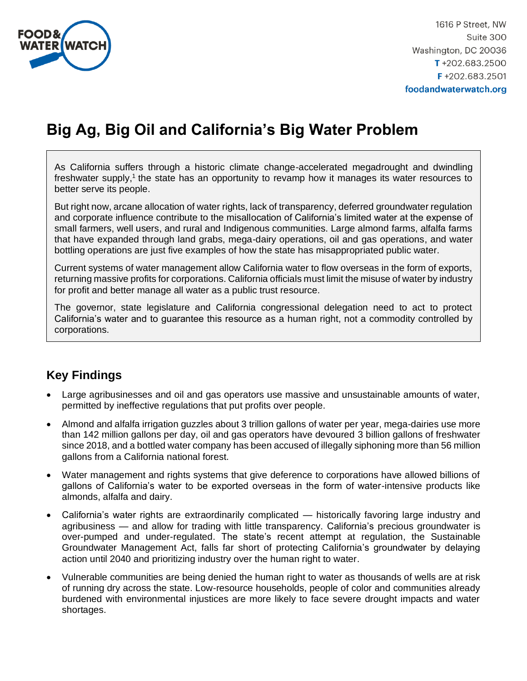

1616 P Street, NW Suite 300 Washington, DC 20036  $T + 202.683.2500$  $F + 202.683.2501$ foodandwaterwatch.org

# **Big Ag, Big Oil and California's Big Water Problem**

As California suffers through a historic climate change-accelerated megadrought and dwindling freshwater supply,<sup>1</sup> the state has an opportunity to revamp how it manages its water resources to better serve its people.

But right now, arcane allocation of water rights, lack of transparency, deferred groundwater regulation and corporate influence contribute to the misallocation of California's limited water at the expense of small farmers, well users, and rural and Indigenous communities. Large almond farms, alfalfa farms that have expanded through land grabs, mega-dairy operations, oil and gas operations, and water bottling operations are just five examples of how the state has misappropriated public water.

Current systems of water management allow California water to flow overseas in the form of exports, returning massive profits for corporations. California officials must limit the misuse of water by industry for profit and better manage all water as a public trust resource.

The governor, state legislature and California congressional delegation need to act to protect California's water and to guarantee this resource as a human right, not a commodity controlled by corporations.

# **Key Findings**

- Large agribusinesses and oil and gas operators use massive and unsustainable amounts of water, permitted by ineffective regulations that put profits over people.
- Almond and alfalfa irrigation guzzles about 3 trillion gallons of water per year, mega-dairies use more than 142 million gallons per day, oil and gas operators have devoured 3 billion gallons of freshwater since 2018, and a bottled water company has been accused of illegally siphoning more than 56 million gallons from a California national forest.
- Water management and rights systems that give deference to corporations have allowed billions of gallons of California's water to be exported overseas in the form of water-intensive products like almonds, alfalfa and dairy.
- California's water rights are extraordinarily complicated historically favoring large industry and agribusiness — and allow for trading with little transparency. California's precious groundwater is over-pumped and under-regulated. The state's recent attempt at regulation, the Sustainable Groundwater Management Act, falls far short of protecting California's groundwater by delaying action until 2040 and prioritizing industry over the human right to water.
- Vulnerable communities are being denied the human right to water as thousands of wells are at risk of running dry across the state. Low-resource households, people of color and communities already burdened with environmental injustices are more likely to face severe drought impacts and water shortages.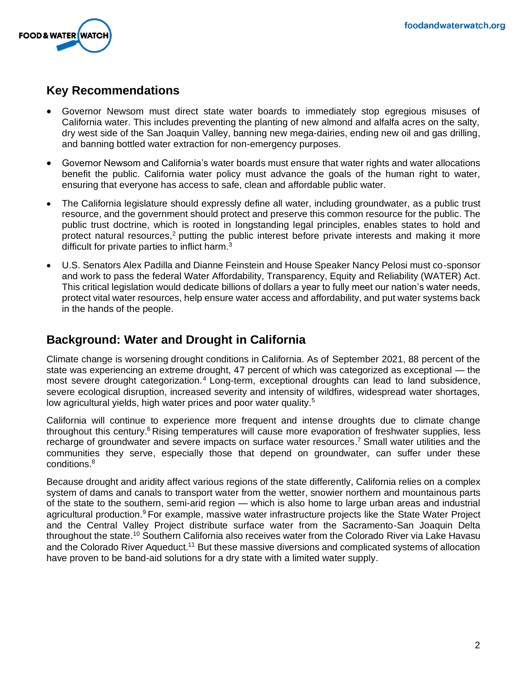

# **Key Recommendations**

- Governor Newsom must direct state water boards to immediately stop egregious misuses of California water. This includes preventing the planting of new almond and alfalfa acres on the salty, dry west side of the San Joaquin Valley, banning new mega-dairies, ending new oil and gas drilling, and banning bottled water extraction for non-emergency purposes.
- Governor Newsom and California's water boards must ensure that water rights and water allocations benefit the public. California water policy must advance the goals of the human right to water, ensuring that everyone has access to safe, clean and affordable public water.
- The California legislature should expressly define all water, including groundwater, as a public trust resource, and the government should protect and preserve this common resource for the public. The public trust doctrine, which is rooted in longstanding legal principles, enables states to hold and protect natural resources,<sup>2</sup> putting the public interest before private interests and making it more difficult for private parties to inflict harm.<sup>3</sup>
- U.S. Senators Alex Padilla and Dianne Feinstein and House Speaker Nancy Pelosi must co-sponsor and work to pass the federal Water Affordability, Transparency, Equity and Reliability (WATER) Act. This critical legislation would dedicate billions of dollars a year to fully meet our nation's water needs, protect vital water resources, help ensure water access and affordability, and put water systems back in the hands of the people.

# **Background: Water and Drought in California**

Climate change is worsening drought conditions in California. As of September 2021, 88 percent of the state was experiencing an extreme drought, 47 percent of which was categorized as exceptional — the most severe drought categorization.<sup>4</sup> Long-term, exceptional droughts can lead to land subsidence, severe ecological disruption, increased severity and intensity of wildfires, widespread water shortages, low agricultural yields, high water prices and poor water quality.<sup>5</sup>

California will continue to experience more frequent and intense droughts due to climate change throughout this century.<sup>6</sup> Rising temperatures will cause more evaporation of freshwater supplies, less recharge of groundwater and severe impacts on surface water resources.<sup>7</sup> Small water utilities and the communities they serve, especially those that depend on groundwater, can suffer under these conditions.<sup>8</sup>

Because drought and aridity affect various regions of the state differently, California relies on a complex system of dams and canals to transport water from the wetter, snowier northern and mountainous parts of the state to the southern, semi-arid region — which is also home to large urban areas and industrial agricultural production.<sup>9</sup> For example, massive water infrastructure projects like the State Water Project and the Central Valley Project distribute surface water from the Sacramento-San Joaquin Delta throughout the state.<sup>10</sup> Southern California also receives water from the Colorado River via Lake Havasu and the Colorado River Aqueduct.<sup>11</sup> But these massive diversions and complicated systems of allocation have proven to be band-aid solutions for a dry state with a limited water supply.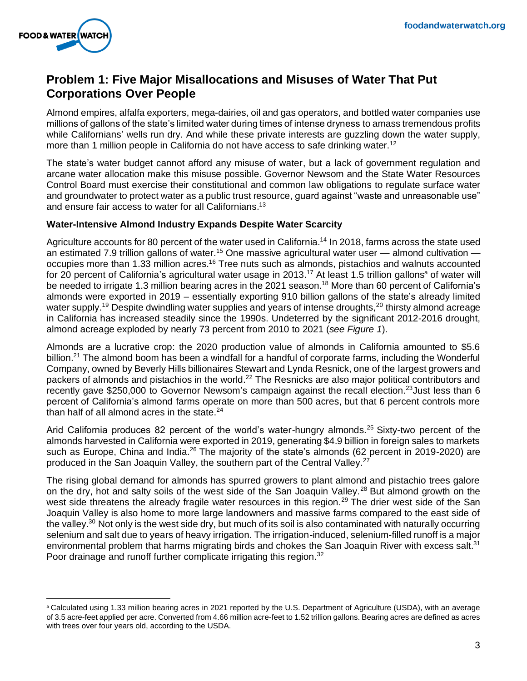

# **Problem 1: Five Major Misallocations and Misuses of Water That Put Corporations Over People**

Almond empires, alfalfa exporters, mega-dairies, oil and gas operators, and bottled water companies use millions of gallons of the state's limited water during times of intense dryness to amass tremendous profits while Californians' wells run dry. And while these private interests are guzzling down the water supply, more than 1 million people in California do not have access to safe drinking water.<sup>12</sup>

The state's water budget cannot afford any misuse of water, but a lack of government regulation and arcane water allocation make this misuse possible. Governor Newsom and the State Water Resources Control Board must exercise their constitutional and common law obligations to regulate surface water and groundwater to protect water as a public trust resource, guard against "waste and unreasonable use" and ensure fair access to water for all Californians.<sup>13</sup>

### **Water-Intensive Almond Industry Expands Despite Water Scarcity**

Agriculture accounts for 80 percent of the water used in California.<sup>14</sup> In 2018, farms across the state used an estimated 7.9 trillion gallons of water.<sup>15</sup> One massive agricultural water user  $-$  almond cultivation  $$ occupies more than 1.33 million acres.<sup>16</sup> Tree nuts such as almonds, pistachios and walnuts accounted for 20 percent of California's agricultural water usage in 2013.<sup>17</sup> At least 1.5 trillion gallons<sup>a</sup> of water will be needed to irrigate 1.3 million bearing acres in the 2021 season.<sup>18</sup> More than 60 percent of California's almonds were exported in 2019 – essentially exporting 910 billion gallons of the state's already limited water supply.<sup>19</sup> Despite dwindling water supplies and years of intense droughts,<sup>20</sup> thirsty almond acreage in California has increased steadily since the 1990s. Undeterred by the significant 2012-2016 drought, almond acreage exploded by nearly 73 percent from 2010 to 2021 (*see Figure 1*).

Almonds are a lucrative crop: the 2020 production value of almonds in California amounted to \$5.6 billion.<sup>21</sup> The almond boom has been a windfall for a handful of corporate farms, including the Wonderful Company, owned by Beverly Hills billionaires Stewart and Lynda Resnick, one of the largest growers and packers of almonds and pistachios in the world.<sup>22</sup> The Resnicks are also major political contributors and recently gave \$250,000 to Governor Newsom's campaign against the recall election.<sup>23</sup> Just less than 6 percent of California's almond farms operate on more than 500 acres, but that 6 percent controls more than half of all almond acres in the state. $24$ 

Arid California produces 82 percent of the world's water-hungry almonds.<sup>25</sup> Sixty-two percent of the almonds harvested in California were exported in 2019, generating \$4.9 billion in foreign sales to markets such as Europe, China and India.<sup>26</sup> The majority of the state's almonds (62 percent in 2019-2020) are produced in the San Joaquin Valley, the southern part of the Central Valley.<sup>27</sup>

The rising global demand for almonds has spurred growers to plant almond and pistachio trees galore on the dry, hot and salty soils of the west side of the San Joaquin Valley.<sup>28</sup> But almond growth on the west side threatens the already fragile water resources in this region.<sup>29</sup> The drier west side of the San Joaquin Valley is also home to more large landowners and massive farms compared to the east side of the valley.<sup>30</sup> Not only is the west side dry, but much of its soil is also contaminated with naturally occurring selenium and salt due to years of heavy irrigation. The irrigation-induced, selenium-filled runoff is a major environmental problem that harms migrating birds and chokes the San Joaquin River with excess salt.<sup>31</sup> Poor drainage and runoff further complicate irrigating this region.<sup>32</sup>

<sup>a</sup> Calculated using 1.33 million bearing acres in 2021 reported by the U.S. Department of Agriculture (USDA), with an average of 3.5 acre-feet applied per acre. Converted from 4.66 million acre-feet to 1.52 trillion gallons. Bearing acres are defined as acres with trees over four years old, according to the USDA.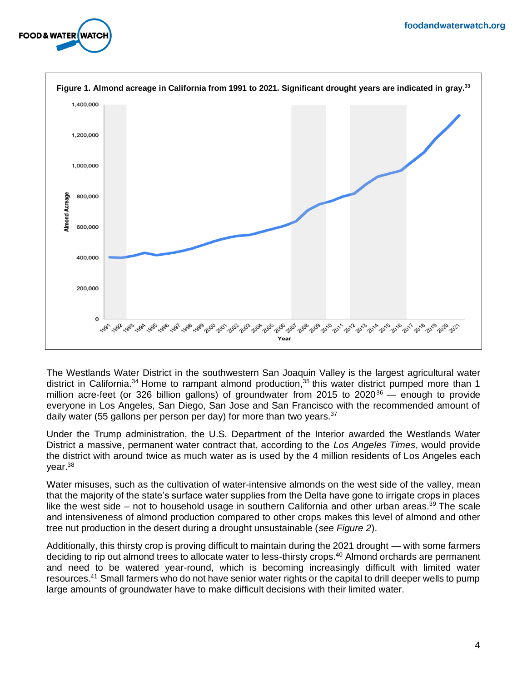



The Westlands Water District in the southwestern San Joaquin Valley is the largest agricultural water district in California.<sup>34</sup> Home to rampant almond production,<sup>35</sup> this water district pumped more than 1 million acre-feet (or 326 billion gallons) of groundwater from 2015 to 2020 $36$  — enough to provide everyone in Los Angeles, San Diego, San Jose and San Francisco with the recommended amount of daily water (55 gallons per person per day) for more than two years. $37$ 

Under the Trump administration, the U.S. Department of the Interior awarded the Westlands Water District a massive, permanent water contract that, according to the *Los Angeles Times*, would provide the district with around twice as much water as is used by the 4 million residents of Los Angeles each year.<sup>38</sup>

Water misuses, such as the cultivation of water-intensive almonds on the west side of the valley, mean that the majority of the state's surface water supplies from the Delta have gone to irrigate crops in places like the west side – not to household usage in southern California and other urban areas.<sup>39</sup> The scale and intensiveness of almond production compared to other crops makes this level of almond and other tree nut production in the desert during a drought unsustainable (*see Figure 2*).

Additionally, this thirsty crop is proving difficult to maintain during the 2021 drought — with some farmers deciding to rip out almond trees to allocate water to less-thirsty crops.<sup>40</sup> Almond orchards are permanent and need to be watered year-round, which is becoming increasingly difficult with limited water resources.<sup>41</sup> Small farmers who do not have senior water rights or the capital to drill deeper wells to pump large amounts of groundwater have to make difficult decisions with their limited water.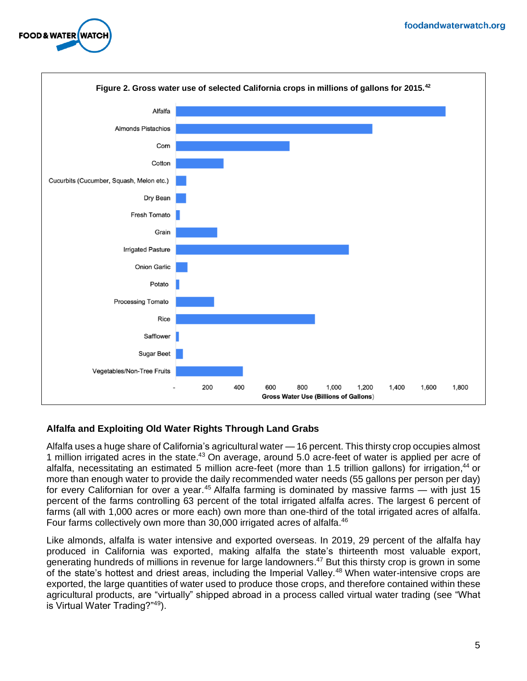



### **Alfalfa and Exploiting Old Water Rights Through Land Grabs**

Alfalfa uses a huge share of California's agricultural water — 16 percent. This thirsty crop occupies almost 1 million irrigated acres in the state.<sup>43</sup> On average, around 5.0 acre-feet of water is applied per acre of alfalfa, necessitating an estimated 5 million acre-feet (more than 1.5 trillion gallons) for irrigation, <sup>44</sup> or more than enough water to provide the daily recommended water needs (55 gallons per person per day) for every Californian for over a year.<sup>45</sup> Alfalfa farming is dominated by massive farms — with just 15 percent of the farms controlling 63 percent of the total irrigated alfalfa acres. The largest 6 percent of farms (all with 1,000 acres or more each) own more than one-third of the total irrigated acres of alfalfa. Four farms collectively own more than 30,000 irrigated acres of alfalfa.<sup>46</sup>

Like almonds, alfalfa is water intensive and exported overseas. In 2019, 29 percent of the alfalfa hay produced in California was exported, making alfalfa the state's thirteenth most valuable export, generating hundreds of millions in revenue for large landowners.<sup>47</sup> But this thirsty crop is grown in some of the state's hottest and driest areas, including the Imperial Valley.<sup>48</sup> When water-intensive crops are exported, the large quantities of water used to produce those crops, and therefore contained within these agricultural products, are "virtually" shipped abroad in a process called virtual water trading (see "What is Virtual Water Trading?"49).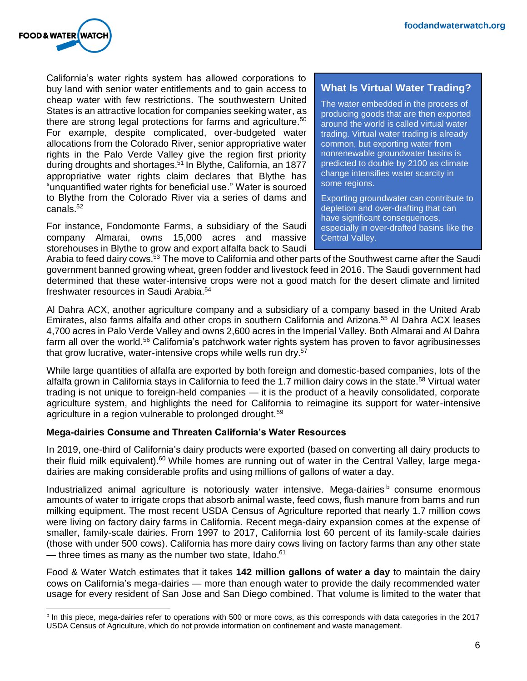

California's water rights system has allowed corporations to buy land with senior water entitlements and to gain access to cheap water with few restrictions. The southwestern United States is an attractive location for companies seeking water, as there are strong legal protections for farms and agriculture.<sup>50</sup> For example, despite complicated, over-budgeted water allocations from the Colorado River, senior appropriative water rights in the Palo Verde Valley give the region first priority during droughts and shortages.<sup>51</sup> In Blythe, California, an 1877 appropriative water rights claim declares that Blythe has "unquantified water rights for beneficial use." Water is sourced to Blythe from the Colorado River via a series of dams and canals.<sup>52</sup>

For instance, Fondomonte Farms, a subsidiary of the Saudi company Almarai, owns 15,000 acres and massive storehouses in Blythe to grow and export alfalfa back to Saudi

### **What Is Virtual Water Trading?**

The water embedded in the process of producing goods that are then exported around the world is called virtual water trading. Virtual water trading is already common, but exporting water from nonrenewable groundwater basins is predicted to double by 2100 as climate change intensifies water scarcity in some regions.

Exporting groundwater can contribute to depletion and over-drafting that can have significant consequences, especially in over-drafted basins like the Central Valley.

Arabia to feed dairy cows.<sup>53</sup> The move to California and other parts of the Southwest came after the Saudi government banned growing wheat, green fodder and livestock feed in 2016. The Saudi government had determined that these water-intensive crops were not a good match for the desert climate and limited freshwater resources in Saudi Arabia. 54

Al Dahra ACX, another agriculture company and a subsidiary of a company based in the United Arab Emirates, also farms alfalfa and other crops in southern California and Arizona. <sup>55</sup> Al Dahra ACX leases 4,700 acres in Palo Verde Valley and owns 2,600 acres in the Imperial Valley. Both Almarai and Al Dahra farm all over the world.<sup>56</sup> California's patchwork water rights system has proven to favor agribusinesses that grow lucrative, water-intensive crops while wells run dry.<sup>57</sup>

While large quantities of alfalfa are exported by both foreign and domestic-based companies, lots of the alfalfa grown in California stays in California to feed the 1.7 million dairy cows in the state.<sup>58</sup> Virtual water trading is not unique to foreign-held companies — it is the product of a heavily consolidated, corporate agriculture system, and highlights the need for California to reimagine its support for water-intensive agriculture in a region vulnerable to prolonged drought.<sup>59</sup>

### **Mega-dairies Consume and Threaten California's Water Resources**

In 2019, one-third of California's dairy products were exported (based on converting all dairy products to their fluid milk equivalent).<sup>60</sup> While homes are running out of water in the Central Valley, large megadairies are making considerable profits and using millions of gallons of water a day.

Industrialized animal agriculture is notoriously water intensive. Mega-dairies  $b$  consume enormous amounts of water to irrigate crops that absorb animal waste, feed cows, flush manure from barns and run milking equipment. The most recent USDA Census of Agriculture reported that nearly 1.7 million cows were living on factory dairy farms in California. Recent mega-dairy expansion comes at the expense of smaller, family-scale dairies. From 1997 to 2017, California lost 60 percent of its family-scale dairies (those with under 500 cows). California has more dairy cows living on factory farms than any other state — three times as many as the number two state, Idaho. $61$ 

Food & Water Watch estimates that it takes **142 million gallons of water a day** to maintain the dairy cows on California's mega-dairies — more than enough water to provide the daily recommended water usage for every resident of San Jose and San Diego combined. That volume is limited to the water that

<sup>&</sup>lt;sup>b</sup> In this piece, mega-dairies refer to operations with 500 or more cows, as this corresponds with data categories in the 2017 USDA Census of Agriculture, which do not provide information on confinement and waste management.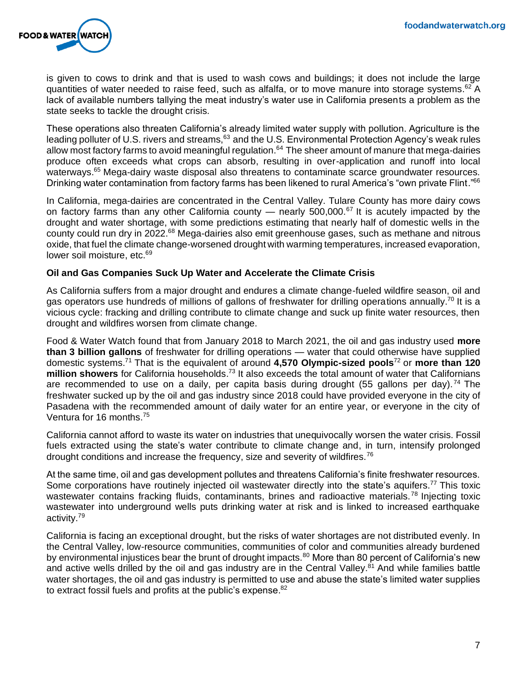

is given to cows to drink and that is used to wash cows and buildings; it does not include the large quantities of water needed to raise feed, such as alfalfa, or to move manure into storage systems.<sup>62</sup> A lack of available numbers tallying the meat industry's water use in California presents a problem as the state seeks to tackle the drought crisis.

These operations also threaten California's already limited water supply with pollution. Agriculture is the leading polluter of U.S. rivers and streams, <sup>63</sup> and the U.S. Environmental Protection Agency's weak rules allow most factory farms to avoid meaningful regulation.<sup>64</sup> The sheer amount of manure that mega-dairies produce often exceeds what crops can absorb, resulting in over-application and runoff into local waterways.<sup>65</sup> Mega-dairy waste disposal also threatens to contaminate scarce groundwater resources. Drinking water contamination from factory farms has been likened to rural America's "own private Flint."<sup>66</sup>

In California, mega-dairies are concentrated in the Central Valley. Tulare County has more dairy cows on factory farms than any other California county — nearly  $500,000$ .<sup>67</sup> It is acutely impacted by the drought and water shortage, with some predictions estimating that nearly half of domestic wells in the county could run dry in 2022.<sup>68</sup> Mega-dairies also emit greenhouse gases, such as methane and nitrous oxide, that fuel the climate change-worsened drought with warming temperatures, increased evaporation, lower soil moisture, etc.<sup>69</sup>

#### **Oil and Gas Companies Suck Up Water and Accelerate the Climate Crisis**

As California suffers from a major drought and endures a climate change-fueled wildfire season, oil and gas operators use hundreds of millions of gallons of freshwater for drilling operations annually.<sup>70</sup> It is a vicious cycle: fracking and drilling contribute to climate change and suck up finite water resources, then drought and wildfires worsen from climate change.

Food & Water Watch found that from January 2018 to March 2021, the oil and gas industry used **more than 3 billion gallons** of freshwater for drilling operations — water that could otherwise have supplied domestic systems. <sup>71</sup> That is the equivalent of around **4,570 Olympic-sized pools**<sup>72</sup> or **more than 120 million showers** for California households. <sup>73</sup> It also exceeds the total amount of water that Californians are recommended to use on a daily, per capita basis during drought (55 gallons per day).<sup>74</sup> The freshwater sucked up by the oil and gas industry since 2018 could have provided everyone in the city of Pasadena with the recommended amount of daily water for an entire year, or everyone in the city of Ventura for 16 months.<sup>75</sup>

California cannot afford to waste its water on industries that unequivocally worsen the water crisis. Fossil fuels extracted using the state's water contribute to climate change and, in turn, intensify prolonged drought conditions and increase the frequency, size and severity of wildfires.<sup>76</sup>

At the same time, oil and gas development pollutes and threatens California's finite freshwater resources. Some corporations have routinely injected oil wastewater directly into the state's aquifers.<sup>77</sup> This toxic wastewater contains fracking fluids, contaminants, brines and radioactive materials.<sup>78</sup> Injecting toxic wastewater into underground wells puts drinking water at risk and is linked to increased earthquake activity.<sup>79</sup>

California is facing an exceptional drought, but the risks of water shortages are not distributed evenly. In the Central Valley, low-resource communities, communities of color and communities already burdened by environmental injustices bear the brunt of drought impacts.<sup>80</sup> More than 80 percent of California's new and active wells drilled by the oil and gas industry are in the Central Valley.<sup>81</sup> And while families battle water shortages, the oil and gas industry is permitted to use and abuse the state's limited water supplies to extract fossil fuels and profits at the public's expense.<sup>82</sup>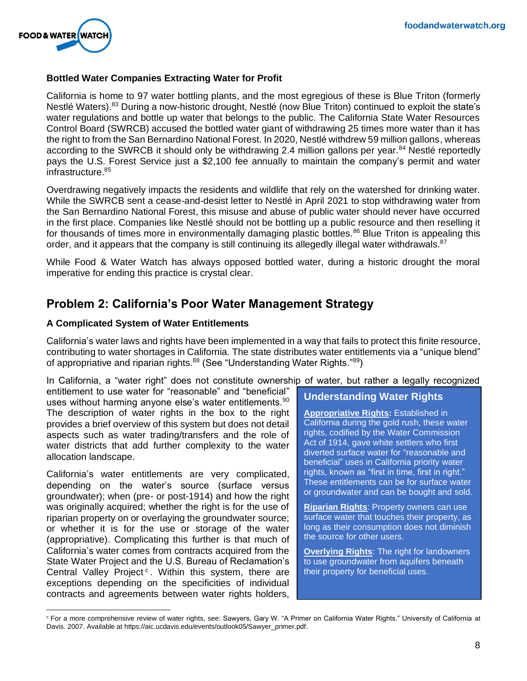

### **Bottled Water Companies Extracting Water for Profit**

California is home to 97 water bottling plants, and the most egregious of these is Blue Triton (formerly Nestlé Waters).<sup>83</sup> During a now-historic drought, Nestlé (now Blue Triton) continued to exploit the state's water regulations and bottle up water that belongs to the public. The California State Water Resources Control Board (SWRCB) accused the bottled water giant of withdrawing 25 times more water than it has the right to from the San Bernardino National Forest. In 2020, Nestlé withdrew 59 million gallons, whereas according to the SWRCB it should only be withdrawing 2.4 million gallons per year.<sup>84</sup> Nestlé reportedly pays the U.S. Forest Service just a \$2,100 fee annually to maintain the company's permit and water infrastructure.<sup>85</sup>

Overdrawing negatively impacts the residents and wildlife that rely on the watershed for drinking water. While the SWRCB sent a cease-and-desist letter to Nestlé in April 2021 to stop withdrawing water from the San Bernardino National Forest, this misuse and abuse of public water should never have occurred in the first place. Companies like Nestlé should not be bottling up a public resource and then reselling it for thousands of times more in environmentally damaging plastic bottles.<sup>86</sup> Blue Triton is appealing this order, and it appears that the company is still continuing its allegedly illegal water withdrawals.<sup>87</sup>

While Food & Water Watch has always opposed bottled water, during a historic drought the moral imperative for ending this practice is crystal clear.

# **Problem 2: California's Poor Water Management Strategy**

#### **A Complicated System of Water Entitlements**

California's water laws and rights have been implemented in a way that fails to protect this finite resource, contributing to water shortages in California. The state distributes water entitlements via a "unique blend" of appropriative and riparian rights.<sup>88</sup> (See "Understanding Water Rights."<sup>89</sup>)

In California, a "water right" does not constitute ownership of water, but rather a legally recognized

entitlement to use water for "reasonable" and "beneficial" uses without harming anyone else's water entitlements.<sup>90</sup> The description of water rights in the box to the right provides a brief overview of this system but does not detail aspects such as water trading/transfers and the role of water districts that add further complexity to the water allocation landscape.

California's water entitlements are very complicated, depending on the water's source (surface versus groundwater); when (pre- or post-1914) and how the right was originally acquired; whether the right is for the use of riparian property on or overlaying the groundwater source; or whether it is for the use or storage of the water (appropriative). Complicating this further is that much of California's water comes from contracts acquired from the State Water Project and the U.S. Bureau of Reclamation's Central Valley Project<sup>c</sup>. Within this system, there are exceptions depending on the specificities of individual contracts and agreements between water rights holders,

### **Understanding Water Rights**

**Appropriative Rights:** Established in California during the gold rush, these water rights, codified by the Water Commission Act of 1914, gave white settlers who first diverted surface water for "reasonable and beneficial" uses in California priority water rights, known as "first in time, first in right." These entitlements can be for surface water or groundwater and can be bought and sold.

**Riparian Rights**: Property owners can use surface water that touches their property, as long as their consumption does not diminish the source for other users.

**Overlying Rights**: The right for landowners to use groundwater from aquifers beneath their property for beneficial uses.

<sup>&</sup>lt;sup>c</sup> For a more comprehensive review of water rights, see: Sawyers, Gary W. "A Primer on California Water Rights." University of California at Davis. 2007. Available at https://aic.ucdavis.edu/events/outlook05/Sawyer\_primer.pdf.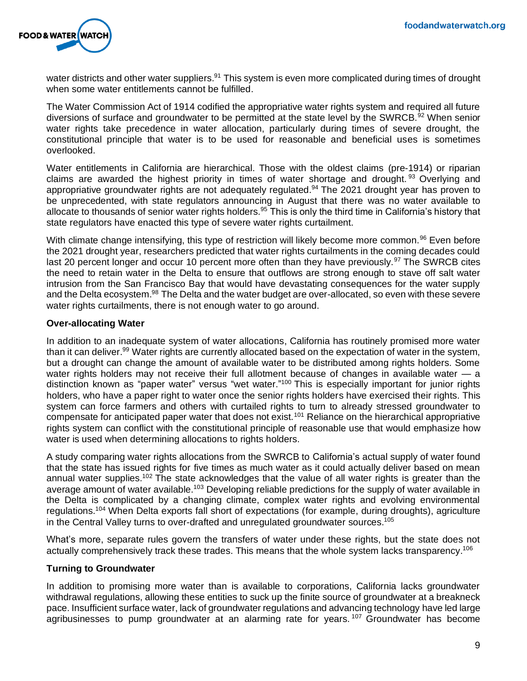

water districts and other water suppliers.<sup>91</sup> This system is even more complicated during times of drought when some water entitlements cannot be fulfilled.

The Water Commission Act of 1914 codified the appropriative water rights system and required all future diversions of surface and groundwater to be permitted at the state level by the SWRCB.<sup>92</sup> When senior water rights take precedence in water allocation, particularly during times of severe drought, the constitutional principle that water is to be used for reasonable and beneficial uses is sometimes overlooked.

Water entitlements in California are hierarchical. Those with the oldest claims (pre-1914) or riparian claims are awarded the highest priority in times of water shortage and drought.  $93$  Overlying and appropriative groundwater rights are not adequately regulated.<sup>94</sup> The 2021 drought year has proven to be unprecedented, with state regulators announcing in August that there was no water available to allocate to thousands of senior water rights holders.<sup>95</sup> This is only the third time in California's history that state regulators have enacted this type of severe water rights curtailment.

With climate change intensifying, this type of restriction will likely become more common.<sup>96</sup> Even before the 2021 drought year, researchers predicted that water rights curtailments in the coming decades could last 20 percent longer and occur 10 percent more often than they have previously.<sup>97</sup> The SWRCB cites the need to retain water in the Delta to ensure that outflows are strong enough to stave off salt water intrusion from the San Francisco Bay that would have devastating consequences for the water supply and the Delta ecosystem.<sup>98</sup> The Delta and the water budget are over-allocated, so even with these severe water rights curtailments, there is not enough water to go around.

#### **Over-allocating Water**

In addition to an inadequate system of water allocations, California has routinely promised more water than it can deliver.<sup>99</sup> Water rights are currently allocated based on the expectation of water in the system, but a drought can change the amount of available water to be distributed among rights holders. Some water rights holders may not receive their full allotment because of changes in available water - a distinction known as "paper water" versus "wet water."<sup>100</sup> This is especially important for junior rights holders, who have a paper right to water once the senior rights holders have exercised their rights. This system can force farmers and others with curtailed rights to turn to already stressed groundwater to compensate for anticipated paper water that does not exist.<sup>101</sup> Reliance on the hierarchical appropriative rights system can conflict with the constitutional principle of reasonable use that would emphasize how water is used when determining allocations to rights holders.

A study comparing water rights allocations from the SWRCB to California's actual supply of water found that the state has issued rights for five times as much water as it could actually deliver based on mean annual water supplies.<sup>102</sup> The state acknowledges that the value of all water rights is greater than the average amount of water available.<sup>103</sup> Developing reliable predictions for the supply of water available in the Delta is complicated by a changing climate, complex water rights and evolving environmental regulations.<sup>104</sup> When Delta exports fall short of expectations (for example, during droughts), agriculture in the Central Valley turns to over-drafted and unregulated groundwater sources. 105

What's more, separate rules govern the transfers of water under these rights, but the state does not actually comprehensively track these trades. This means that the whole system lacks transparency.<sup>106</sup>

#### **Turning to Groundwater**

In addition to promising more water than is available to corporations, California lacks groundwater withdrawal regulations, allowing these entities to suck up the finite source of groundwater at a breakneck pace. Insufficient surface water, lack of groundwater regulations and advancing technology have led large agribusinesses to pump groundwater at an alarming rate for years.<sup>107</sup> Groundwater has become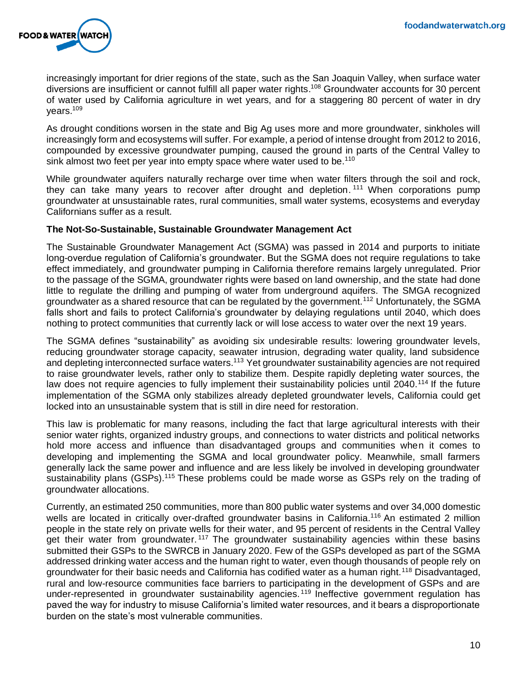

increasingly important for drier regions of the state, such as the San Joaquin Valley, when surface water diversions are insufficient or cannot fulfill all paper water rights. <sup>108</sup> Groundwater accounts for 30 percent of water used by California agriculture in wet years, and for a staggering 80 percent of water in dry years.<sup>109</sup>

As drought conditions worsen in the state and Big Ag uses more and more groundwater, sinkholes will increasingly form and ecosystems will suffer. For example, a period of intense drought from 2012 to 2016, compounded by excessive groundwater pumping, caused the ground in parts of the Central Valley to sink almost two feet per year into empty space where water used to be.<sup>110</sup>

While groundwater aquifers naturally recharge over time when water filters through the soil and rock, they can take many years to recover after drought and depletion.<sup>111</sup> When corporations pump groundwater at unsustainable rates, rural communities, small water systems, ecosystems and everyday Californians suffer as a result.

#### **The Not-So-Sustainable, Sustainable Groundwater Management Act**

The Sustainable Groundwater Management Act (SGMA) was passed in 2014 and purports to initiate long-overdue regulation of California's groundwater. But the SGMA does not require regulations to take effect immediately, and groundwater pumping in California therefore remains largely unregulated. Prior to the passage of the SGMA, groundwater rights were based on land ownership, and the state had done little to regulate the drilling and pumping of water from underground aquifers. The SMGA recognized groundwater as a shared resource that can be regulated by the government.<sup>112</sup> Unfortunately, the SGMA falls short and fails to protect California's groundwater by delaying regulations until 2040, which does nothing to protect communities that currently lack or will lose access to water over the next 19 years.

The SGMA defines "sustainability" as avoiding six undesirable results: lowering groundwater levels, reducing groundwater storage capacity, seawater intrusion, degrading water quality, land subsidence and depleting interconnected surface waters.<sup>113</sup> Yet groundwater sustainability agencies are not required to raise groundwater levels, rather only to stabilize them. Despite rapidly depleting water sources, the law does not require agencies to fully implement their sustainability policies until 2040.<sup>114</sup> If the future implementation of the SGMA only stabilizes already depleted groundwater levels, California could get locked into an unsustainable system that is still in dire need for restoration.

This law is problematic for many reasons, including the fact that large agricultural interests with their senior water rights, organized industry groups, and connections to water districts and political networks hold more access and influence than disadvantaged groups and communities when it comes to developing and implementing the SGMA and local groundwater policy. Meanwhile, small farmers generally lack the same power and influence and are less likely be involved in developing groundwater sustainability plans (GSPs).<sup>115</sup> These problems could be made worse as GSPs rely on the trading of groundwater allocations.

Currently, an estimated 250 communities, more than 800 public water systems and over 34,000 domestic wells are located in critically over-drafted groundwater basins in California.<sup>116</sup> An estimated 2 million people in the state rely on private wells for their water, and 95 percent of residents in the Central Valley get their water from groundwater.<sup>117</sup> The groundwater sustainability agencies within these basins submitted their GSPs to the SWRCB in January 2020. Few of the GSPs developed as part of the SGMA addressed drinking water access and the human right to water, even though thousands of people rely on groundwater for their basic needs and California has codified water as a human right.<sup>118</sup> Disadvantaged, rural and low-resource communities face barriers to participating in the development of GSPs and are under-represented in groundwater sustainability agencies.<sup>119</sup> Ineffective government regulation has paved the way for industry to misuse California's limited water resources, and it bears a disproportionate burden on the state's most vulnerable communities.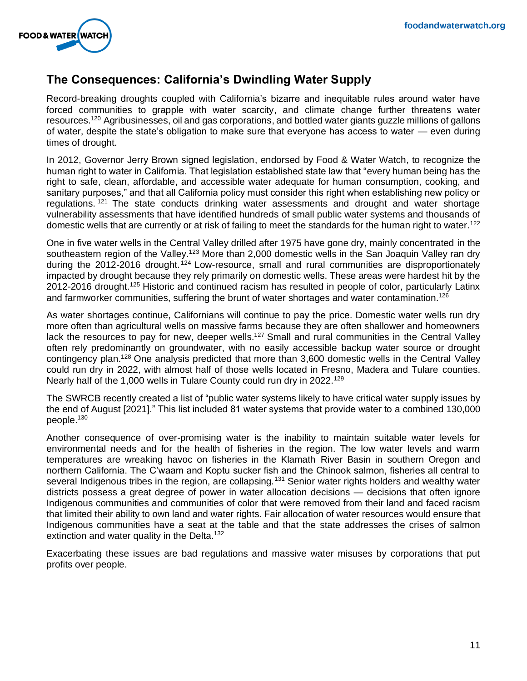

# **The Consequences: California's Dwindling Water Supply**

Record-breaking droughts coupled with California's bizarre and inequitable rules around water have forced communities to grapple with water scarcity, and climate change further threatens water resources.<sup>120</sup> Agribusinesses, oil and gas corporations, and bottled water giants guzzle millions of gallons of water, despite the state's obligation to make sure that everyone has access to water — even during times of drought.

In 2012, Governor Jerry Brown signed legislation, endorsed by Food & Water Watch, to recognize the human right to water in California. That legislation established state law that "every human being has the right to safe, clean, affordable, and accessible water adequate for human consumption, cooking, and sanitary purposes," and that all California policy must consider this right when establishing new policy or regulations.<sup>121</sup> The state conducts drinking water assessments and drought and water shortage vulnerability assessments that have identified hundreds of small public water systems and thousands of domestic wells that are currently or at risk of failing to meet the standards for the human right to water.<sup>122</sup>

One in five water wells in the Central Valley drilled after 1975 have gone dry, mainly concentrated in the southeastern region of the Valley.<sup>123</sup> More than 2,000 domestic wells in the San Joaquin Valley ran dry during the 2012-2016 drought.<sup>124</sup> Low-resource, small and rural communities are disproportionately impacted by drought because they rely primarily on domestic wells. These areas were hardest hit by the 2012-2016 drought.<sup>125</sup> Historic and continued racism has resulted in people of color, particularly Latinx and farmworker communities, suffering the brunt of water shortages and water contamination.<sup>126</sup>

As water shortages continue, Californians will continue to pay the price. Domestic water wells run dry more often than agricultural wells on massive farms because they are often shallower and homeowners lack the resources to pay for new, deeper wells.<sup>127</sup> Small and rural communities in the Central Valley often rely predominantly on groundwater, with no easily accessible backup water source or drought contingency plan.<sup>128</sup> One analysis predicted that more than 3,600 domestic wells in the Central Valley could run dry in 2022, with almost half of those wells located in Fresno, Madera and Tulare counties. Nearly half of the 1,000 wells in Tulare County could run dry in 2022.<sup>129</sup>

The SWRCB recently created a list of "public water systems likely to have critical water supply issues by the end of August [2021]." This list included 81 water systems that provide water to a combined 130,000 people.<sup>130</sup>

Another consequence of over-promising water is the inability to maintain suitable water levels for environmental needs and for the health of fisheries in the region. The low water levels and warm temperatures are wreaking havoc on fisheries in the Klamath River Basin in southern Oregon and northern California. The C'waam and Koptu sucker fish and the Chinook salmon, fisheries all central to several Indigenous tribes in the region, are collapsing.<sup>131</sup> Senior water rights holders and wealthy water districts possess a great degree of power in water allocation decisions — decisions that often ignore Indigenous communities and communities of color that were removed from their land and faced racism that limited their ability to own land and water rights. Fair allocation of water resources would ensure that Indigenous communities have a seat at the table and that the state addresses the crises of salmon extinction and water quality in the Delta.<sup>132</sup>

Exacerbating these issues are bad regulations and massive water misuses by corporations that put profits over people.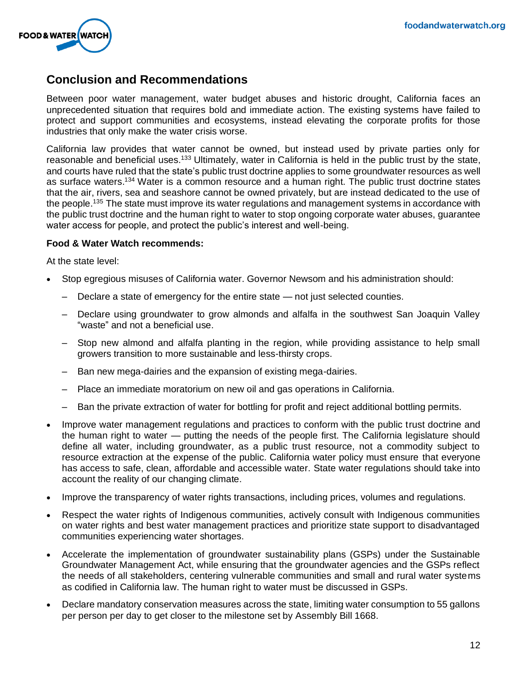

# **Conclusion and Recommendations**

Between poor water management, water budget abuses and historic drought, California faces an unprecedented situation that requires bold and immediate action. The existing systems have failed to protect and support communities and ecosystems, instead elevating the corporate profits for those industries that only make the water crisis worse.

California law provides that water cannot be owned, but instead used by private parties only for reasonable and beneficial uses.<sup>133</sup> Ultimately, water in California is held in the public trust by the state, and courts have ruled that the state's public trust doctrine applies to some groundwater resources as well as surface waters.<sup>134</sup> Water is a common resource and a human right. The public trust doctrine states that the air, rivers, sea and seashore cannot be owned privately, but are instead dedicated to the use of the people.<sup>135</sup> The state must improve its water regulations and management systems in accordance with the public trust doctrine and the human right to water to stop ongoing corporate water abuses, guarantee water access for people, and protect the public's interest and well-being.

#### **Food & Water Watch recommends:**

At the state level:

- Stop egregious misuses of California water. Governor Newsom and his administration should:
	- Declare a state of emergency for the entire state not just selected counties.
	- Declare using groundwater to grow almonds and alfalfa in the southwest San Joaquin Valley "waste" and not a beneficial use.
	- Stop new almond and alfalfa planting in the region, while providing assistance to help small growers transition to more sustainable and less-thirsty crops.
	- Ban new mega-dairies and the expansion of existing mega-dairies.
	- Place an immediate moratorium on new oil and gas operations in California.
	- Ban the private extraction of water for bottling for profit and reject additional bottling permits.
- Improve water management regulations and practices to conform with the public trust doctrine and the human right to water — putting the needs of the people first. The California legislature should define all water, including groundwater, as a public trust resource, not a commodity subject to resource extraction at the expense of the public. California water policy must ensure that everyone has access to safe, clean, affordable and accessible water. State water regulations should take into account the reality of our changing climate.
- Improve the transparency of water rights transactions, including prices, volumes and regulations.
- Respect the water rights of Indigenous communities, actively consult with Indigenous communities on water rights and best water management practices and prioritize state support to disadvantaged communities experiencing water shortages.
- Accelerate the implementation of groundwater sustainability plans (GSPs) under the Sustainable Groundwater Management Act, while ensuring that the groundwater agencies and the GSPs reflect the needs of all stakeholders, centering vulnerable communities and small and rural water systems as codified in California law. The human right to water must be discussed in GSPs.
- Declare mandatory conservation measures across the state, limiting water consumption to 55 gallons per person per day to get closer to the milestone set by Assembly Bill 1668.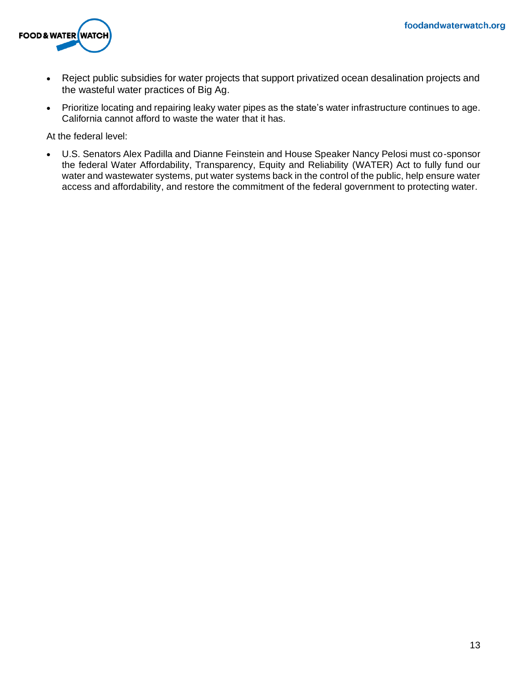

- Reject public subsidies for water projects that support privatized ocean desalination projects and the wasteful water practices of Big Ag.
- Prioritize locating and repairing leaky water pipes as the state's water infrastructure continues to age. California cannot afford to waste the water that it has.

At the federal level:

• U.S. Senators Alex Padilla and Dianne Feinstein and House Speaker Nancy Pelosi must co-sponsor the federal Water Affordability, Transparency, Equity and Reliability (WATER) Act to fully fund our water and wastewater systems, put water systems back in the control of the public, help ensure water access and affordability, and restore the commitment of the federal government to protecting water.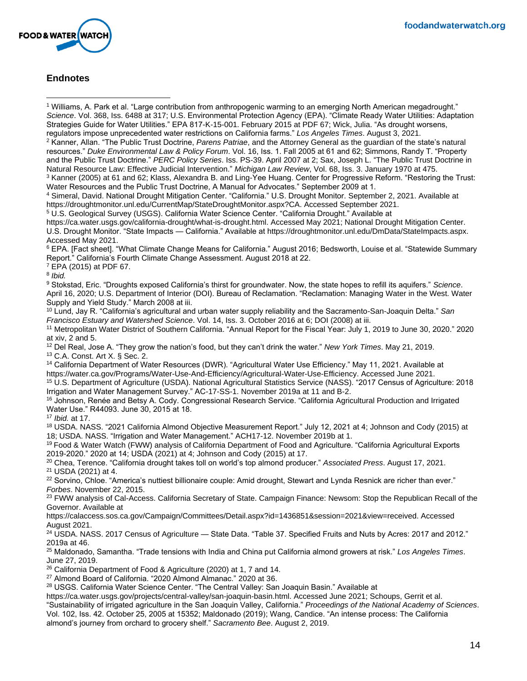

### **Endnotes**

<sup>1</sup> Williams, A. Park et al. "Large contribution from anthropogenic warming to an emerging North American megadrought." *Science*. Vol. 368, Iss. 6488 at 317; U.S. Environmental Protection Agency (EPA). "Climate Ready Water Utilities: Adaptation Strategies Guide for Water Utilities." EPA 817-K-15-001. February 2015 at PDF 67; Wick, Julia. "As drought worsens, regulators impose unprecedented water restrictions on California farms." *Los Angeles Times*. August 3, 2021.

<sup>2</sup> Kanner, Allan. "The Public Trust Doctrine, *Parens Patriae*, and the Attorney General as the guardian of the state's natural resources." *Duke Environmental Law & Policy Forum*. Vol. 16, Iss. 1. Fall 2005 at 61 and 62; Simmons, Randy T. "Property and the Public Trust Doctrine." *PERC Policy Series*. Iss. PS-39. April 2007 at 2; Sax, Joseph L. "The Public Trust Doctrine in Natural Resource Law: Effective Judicial Intervention." *Michigan Law Review*, Vol. 68, Iss. 3. January 1970 at 475. <sup>3</sup> Kanner (2005) at 61 and 62; Klass, Alexandra B. and Ling-Yee Huang. Center for Progressive Reform. "Restoring the Trust:

Water Resources and the Public Trust Doctrine, A Manual for Advocates." September 2009 at 1.

<sup>4</sup> Simeral, David. National Drought Mitigation Center. "California." U.S. Drought Monitor. September 2, 2021. Available at https://droughtmonitor.unl.edu/CurrentMap/StateDroughtMonitor.aspx?CA. Accessed September 2021.

<sup>5</sup> U.S. Geological Survey (USGS). California Water Science Center. "California Drought." Available at

https://ca.water.usgs.gov/california-drought/what-is-drought.html. Accessed May 2021; National Drought Mitigation Center.

U.S. Drought Monitor. "State Impacts — California." Available at https://droughtmonitor.unl.edu/DmData/StateImpacts.aspx. Accessed May 2021.

<sup>6</sup> EPA. [Fact sheet]. "What Climate Change Means for California." August 2016; Bedsworth, Louise et al. "Statewide Summary Report." California's Fourth Climate Change Assessment. August 2018 at 22.

<sup>7</sup> EPA (2015) at PDF 67.

8 *Ibid.*

<sup>9</sup> Stokstad, Eric. "Droughts exposed California's thirst for groundwater. Now, the state hopes to refill its aquifers." *Science*. April 16, 2020; U.S. Department of Interior (DOI). Bureau of Reclamation. "Reclamation: Managing Water in the West. Water Supply and Yield Study." March 2008 at iii.

<sup>10</sup> Lund, Jay R. "California's agricultural and urban water supply reliability and the Sacramento-San-Joaquin Delta." *San Francisco Estuary and Watershed Science*. Vol. 14, Iss. 3. October 2016 at 6; DOI (2008) at iii.

<sup>11</sup> Metropolitan Water District of Southern California. "Annual Report for the Fiscal Year: July 1, 2019 to June 30, 2020." 2020 at xiv, 2 and 5.

<sup>12</sup> Del Real, Jose A. "They grow the nation's food, but they can't drink the water." *New York Times*. May 21, 2019. <sup>13</sup> C.A. Const. Art X. § Sec. 2.

<sup>14</sup> California Department of Water Resources (DWR). "Agricultural Water Use Efficiency." May 11, 2021. Available at https://water.ca.gov/Programs/Water-Use-And-Efficiency/Agricultural-Water-Use-Efficiency. Accessed June 2021.

<sup>15</sup> U.S. Department of Agriculture (USDA). National Agricultural Statistics Service (NASS). "2017 Census of Agriculture: 2018 Irrigation and Water Management Survey." AC-17-SS-1. November 2019a at 11 and B-2.

<sup>16</sup> Johnson, Renée and Betsy A. Cody. Congressional Research Service. "California Agricultural Production and Irrigated Water Use." R44093. June 30, 2015 at 18.

<sup>17</sup> *Ibid.* at 17.

<sup>18</sup> USDA. NASS. "2021 California Almond Objective Measurement Report." July 12, 2021 at 4; Johnson and Cody (2015) at 18; USDA. NASS. "Irrigation and Water Management." ACH17-12. November 2019b at 1.

<sup>19</sup> Food & Water Watch (FWW) analysis of California Department of Food and Agriculture. "California Agricultural Exports 2019-2020." 2020 at 14; USDA (2021) at 4; Johnson and Cody (2015) at 17.

<sup>20</sup> Chea, Terence. "California drought takes toll on world's top almond producer." *Associated Press*. August 17, 2021. <sup>21</sup> USDA (2021) at 4.

<sup>22</sup> Sorvino, Chloe. "America's nuttiest billionaire couple: Amid drought, Stewart and Lynda Resnick are richer than ever." *Forbes*. November 22, 2015.

<sup>23</sup> FWW analysis of Cal-Access. California Secretary of State. Campaign Finance: Newsom: Stop the Republican Recall of the Governor. Available at

https://calaccess.sos.ca.gov/Campaign/Committees/Detail.aspx?id=1436851&session=2021&view=received. Accessed August 2021.

<sup>24</sup> USDA. NASS. 2017 Census of Agriculture — State Data. "Table 37. Specified Fruits and Nuts by Acres: 2017 and 2012." 2019a at 46.

<sup>25</sup> Maldonado, Samantha. "Trade tensions with India and China put California almond growers at risk." *Los Angeles Times*. June 27, 2019.

<sup>26</sup> California Department of Food & Agriculture (2020) at 1, 7 and 14.

<sup>27</sup> Almond Board of California. "2020 Almond Almanac." 2020 at 36.

<sup>28</sup> USGS. California Water Science Center. "The Central Valley: San Joaquin Basin." Available at

https://ca.water.usgs.gov/projects/central-valley/san-joaquin-basin.html. Accessed June 2021; Schoups, Gerrit et al. "Sustainability of irrigated agriculture in the San Joaquin Valley, California." *Proceedings of the National Academy of Sciences*. Vol. 102, Iss. 42. October 25, 2005 at 15352; Maldonado (2019); Wang, Candice. "An intense process: The California almond's journey from orchard to grocery shelf." *Sacramento Bee*. August 2, 2019.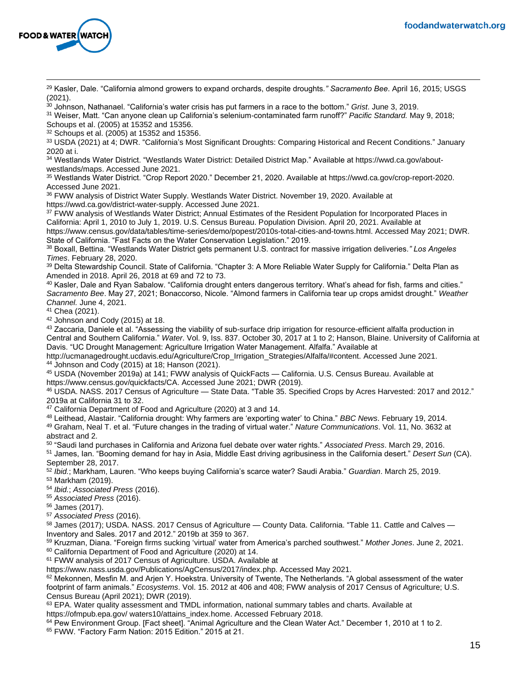

<sup>29</sup> Kasler, Dale. "California almond growers to expand orchards, despite droughts*." Sacramento Bee*. April 16, 2015; USGS (2021).

<sup>30</sup> Johnson, Nathanael. "California's water crisis has put farmers in a race to the bottom." *Grist*. June 3, 2019.

<sup>31</sup> Weiser, Matt. "Can anyone clean up California's selenium-contaminated farm runoff?" *Pacific Standard.* May 9, 2018; Schoups et al. (2005) at 15352 and 15356.

<sup>32</sup> Schoups et al. (2005) at 15352 and 15356.

33 USDA (2021) at 4; DWR. "California's Most Significant Droughts: Comparing Historical and Recent Conditions." January 2020 at i.

<sup>34</sup> Westlands Water District. "Westlands Water District: Detailed District Map." Available at https://wwd.ca.gov/aboutwestlands/maps. Accessed June 2021.

<sup>35</sup> Westlands Water District. "Crop Report 2020." December 21, 2020. Available at https://wwd.ca.gov/crop-report-2020. Accessed June 2021.

36 FWW analysis of District Water Supply. Westlands Water District. November 19, 2020. Available at https://wwd.ca.gov/district-water-supply. Accessed June 2021.

<sup>37</sup> FWW analysis of Westlands Water District; Annual Estimates of the Resident Population for Incorporated Places in California: April 1, 2010 to July 1, 2019. U.S. Census Bureau. Population Division. April 20, 2021. Available at https://www.census.gov/data/tables/time-series/demo/popest/2010s-total-cities-and-towns.html. Accessed May 2021; DWR. State of California. "Fast Facts on the Water Conservation Legislation." 2019.

<sup>38</sup> Boxall, Bettina. "Westlands Water District gets permanent U.S. contract for massive irrigation deliveries*." Los Angeles Times*. February 28, 2020.

<sup>39</sup> Delta Stewardship Council. State of California. "Chapter 3: A More Reliable Water Supply for California." Delta Plan as Amended in 2018. April 26, 2018 at 69 and 72 to 73.

<sup>40</sup> Kasler, Dale and Ryan Sabalow. "California drought enters dangerous territory. What's ahead for fish, farms and cities." *Sacramento Bee*. May 27, 2021; Bonaccorso, Nicole. "Almond farmers in California tear up crops amidst drought." *Weather Channel.* June 4, 2021.

<sup>41</sup> Chea (2021).

<sup>42</sup> Johnson and Cody (2015) at 18.

<sup>43</sup> Zaccaria, Daniele et al. "Assessing the viability of sub-surface drip irrigation for resource-efficient alfalfa production in Central and Southern California." *Water*. Vol. 9, Iss. 837. October 30, 2017 at 1 to 2; Hanson, Blaine. University of California at Davis. "UC Drought Management: Agriculture Irrigation Water Management. Alfalfa." Available at

http://ucmanagedrought.ucdavis.edu/Agriculture/Crop\_Irrigation\_Strategies/Alfalfa/#content. Accessed June 2021. <sup>44</sup> Johnson and Cody (2015) at 18; Hanson (2021).

<sup>45</sup> USDA (November 2019a) at 141; FWW analysis of QuickFacts — California. U.S. Census Bureau. Available at https://www.census.gov/quickfacts/CA. Accessed June 2021; DWR (2019).

<sup>46</sup> USDA. NASS. 2017 Census of Agriculture — State Data. "Table 35. Specified Crops by Acres Harvested: 2017 and 2012." 2019a at California 31 to 32.

<sup>47</sup> California Department of Food and Agriculture (2020) at 3 and 14.

<sup>48</sup> Leithead, Alastair. "California drought: Why farmers are 'exporting water' to China." *BBC News*. February 19, 2014.

<sup>49</sup> Graham, Neal T. et al. "Future changes in the trading of virtual water." *Nature Communications*. Vol. 11, No. 3632 at abstract and 2.

<sup>50</sup> "Saudi land purchases in California and Arizona fuel debate over water rights." *Associated Press*. March 29, 2016.

<sup>51</sup> James, Ian. "Booming demand for hay in Asia, Middle East driving agribusiness in the California desert." *Desert Sun* (CA). September 28, 2017.

<sup>52</sup> *Ibid.*; Markham, Lauren. "Who keeps buying California's scarce water? Saudi Arabia." *Guardian*. March 25, 2019. <sup>53</sup> Markham (2019).

<sup>54</sup> *Ibid.*; *Associated Press* (2016).

<sup>55</sup> *Associated Press* (2016).

<sup>56</sup> James (2017).

<sup>57</sup> *Associated Press* (2016).

58 James (2017); USDA. NASS. 2017 Census of Agriculture — County Data. California. "Table 11. Cattle and Calves — Inventory and Sales. 2017 and 2012." 2019b at 359 to 367.

<sup>59</sup> Kruzman, Diana. "Foreign firms sucking 'virtual' water from America's parched southwest." *Mother Jones*. June 2, 2021. <sup>60</sup> California Department of Food and Agriculture (2020) at 14.

<sup>61</sup> FWW analysis of 2017 Census of Agriculture. USDA. Available at

https://www.nass.usda.gov/Publications/AgCensus/2017/index.php. Accessed May 2021.

 $62$  Mekonnen, Mesfin M. and Arjen Y. Hoekstra. University of Twente, The Netherlands. "A global assessment of the water footprint of farm animals." *Ecosystems*. Vol. 15. 2012 at 406 and 408; FWW analysis of 2017 Census of Agriculture; U.S. Census Bureau (April 2021); DWR (2019).

63 EPA. Water quality assessment and TMDL information, national summary tables and charts. Available at https://ofmpub.epa.gov/ waters10/attains\_index.home. Accessed February 2018.

64 Pew Environment Group. [Fact sheet]. "Animal Agriculture and the Clean Water Act." December 1, 2010 at 1 to 2.

<sup>65</sup> FWW. "Factory Farm Nation: 2015 Edition." 2015 at 21.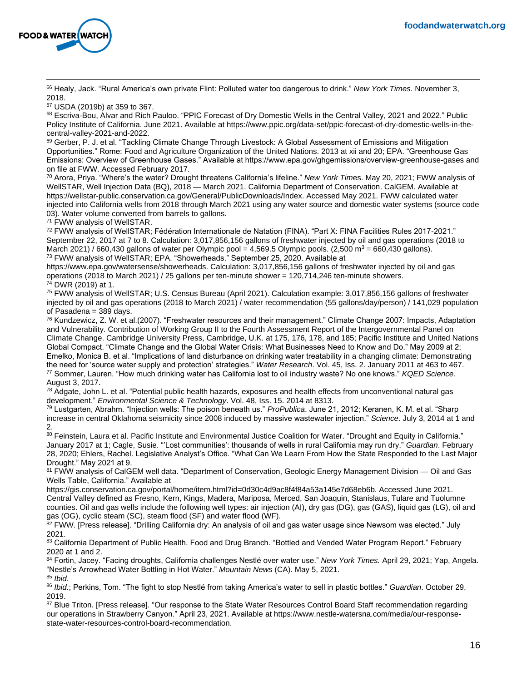

<sup>66</sup> Healy, Jack. "Rural America's own private Flint: Polluted water too dangerous to drink." *New York Times*. November 3, 2018.

<sup>67</sup> USDA (2019b) at 359 to 367.

68 Escriva-Bou, Alvar and Rich Pauloo. "PPIC Forecast of Dry Domestic Wells in the Central Valley, 2021 and 2022." Public Policy Institute of California. June 2021. Available at https://www.ppic.org/data-set/ppic-forecast-of-dry-domestic-wells-in-thecentral-valley-2021-and-2022.

69 Gerber, P. J. et al. "Tackling Climate Change Through Livestock: A Global Assessment of Emissions and Mitigation Opportunities." Rome: Food and Agriculture Organization of the United Nations. 2013 at xii and 20; EPA. "Greenhouse Gas Emissions: Overview of Greenhouse Gases." Available at https://www.epa.gov/ghgemissions/overview-greenhouse-gases and on file at FWW. Accessed February 2017.

<sup>70</sup> Arora, Priya. "Where's the water? Drought threatens California's lifeline." *New York Tim*es. May 20, 2021; FWW analysis of WellSTAR, Well Injection Data (BQ), 2018 — March 2021. California Department of Conservation. CalGEM. Available at https://wellstar-public.conservation.ca.gov/General/PublicDownloads/Index. Accessed May 2021. FWW calculated water injected into California wells from 2018 through March 2021 using any water source and domestic water systems (source code 03). Water volume converted from barrels to gallons.

<sup>71</sup> FWW analysis of WellSTAR.

<sup>72</sup> FWW analysis of WellSTAR; Fédération Internationale de Natation (FINA). "Part X: FINA Facilities Rules 2017-2021." September 22, 2017 at 7 to 8. Calculation: 3,017,856,156 gallons of freshwater injected by oil and gas operations (2018 to March 2021) / 660,430 gallons of water per Olympic pool = 4,569.5 Olympic pools. (2,500 m<sup>3</sup> = 660,430 gallons). <sup>73</sup> FWW analysis of WellSTAR; EPA. "Showerheads." September 25, 2020. Available at

https://www.epa.gov/watersense/showerheads. Calculation: 3,017,856,156 gallons of freshwater injected by oil and gas operations (2018 to March 2021) / 25 gallons per ten-minute shower = 120,714,246 ten-minute showers. <sup>74</sup> DWR (2019) at 1.

<sup>75</sup> FWW analysis of WellSTAR; U.S. Census Bureau (April 2021). Calculation example: 3,017,856,156 gallons of freshwater injected by oil and gas operations (2018 to March 2021) / water recommendation (55 gallons/day/person) / 141,029 population of Pasadena = 389 days.

<sup>76</sup> Kundzewicz, Z. W. et al.(2007). "Freshwater resources and their management." Climate Change 2007: Impacts, Adaptation and Vulnerability. Contribution of Working Group II to the Fourth Assessment Report of the Intergovernmental Panel on Climate Change. Cambridge University Press, Cambridge, U.K. at 175, 176, 178, and 185; Pacific Institute and United Nations Global Compact. "Climate Change and the Global Water Crisis: What Businesses Need to Know and Do." May 2009 at 2; Emelko, Monica B. et al. "Implications of land disturbance on drinking water treatability in a changing climate: Demonstrating the need for 'source water supply and protection' strategies." *Water Research*. Vol. 45, Iss. 2. January 2011 at 463 to 467. <sup>77</sup> Sommer, Lauren. "How much drinking water has California lost to oil industry waste? No one knows." *KQED Science.* August 3, 2017.

 $78$  Adgate, John L. et al. "Potential public health hazards, exposures and health effects from unconventional natural gas development." *Environmental Science & Technology*. Vol. 48, Iss. 15. 2014 at 8313.

<sup>79</sup> Lustgarten, Abrahm. "Injection wells: The poison beneath us." *ProPublica*. June 21, 2012; Keranen, K. M. et al. "Sharp increase in central Oklahoma seismicity since 2008 induced by massive wastewater injection." *Science*. July 3, 2014 at 1 and 2.

80 Feinstein, Laura et al. Pacific Institute and Environmental Justice Coalition for Water. "Drought and Equity in California." January 2017 at 1; Cagle, Susie. "'Lost communities': thousands of wells in rural California may run dry." *Guardian*. February 28, 2020; Ehlers, Rachel. Legislative Analyst's Office. "What Can We Learn From How the State Responded to the Last Major Drought." May 2021 at 9.

81 FWW analysis of CalGEM well data. "Department of Conservation, Geologic Energy Management Division — Oil and Gas Wells Table, California." Available at

https://gis.conservation.ca.gov/portal/home/item.html?id=0d30c4d9ac8f4f84a53a145e7d68eb6b. Accessed June 2021. Central Valley defined as Fresno, Kern, Kings, Madera, Mariposa, Merced, San Joaquin, Stanislaus, Tulare and Tuolumne counties. Oil and gas wells include the following well types: air injection (AI), dry gas (DG), gas (GAS), liquid gas (LG), oil and gas (OG), cyclic steam (SC), steam flood (SF) and water flood (WF).

 $82$  FWW. [Press release]. "Drilling California dry: An analysis of oil and gas water usage since Newsom was elected." July 2021.

83 California Department of Public Health. Food and Drug Branch. "Bottled and Vended Water Program Report." February 2020 at 1 and 2.

<sup>84</sup> Fortin, Jacey. "Facing droughts, California challenges Nestlé over water use." *New York Times.* April 29, 2021; Yap, Angela. "Nestle's Arrowhead Water Bottling in Hot Water." *Mountain News* (CA). May 5, 2021. <sup>85</sup> *Ibid*.

<sup>86</sup> *Ibid.*; Perkins, Tom. "The fight to stop Nestlé from taking America's water to sell in plastic bottles." *Guardian*. October 29, 2019.

87 Blue Triton. [Press release]. "Our response to the State Water Resources Control Board Staff recommendation regarding our operations in Strawberry Canyon." April 23, 2021. Available at https://www.nestle-watersna.com/media/our-responsestate-water-resources-control-board-recommendation.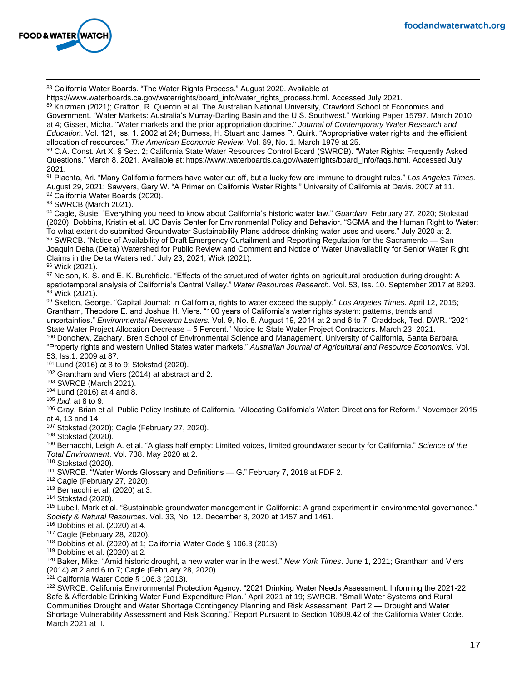

88 California Water Boards. "The Water Rights Process." August 2020. Available at

https://www.waterboards.ca.gov/waterrights/board\_info/water\_rights\_process.html. Accessed July 2021.

89 Kruzman (2021); Grafton, R. Quentin et al. The Australian National University, Crawford School of Economics and Government. "Water Markets: Australia's Murray-Darling Basin and the U.S. Southwest." Working Paper 15797. March 2010 at 4; Gisser, Micha. "Water markets and the prior appropriation doctrine." *Journal of Contemporary Water Research and Education*. Vol. 121, Iss. 1. 2002 at 24; Burness, H. Stuart and James P. Quirk. "Appropriative water rights and the efficient allocation of resources." *The American Economic Review*. Vol. 69, No. 1. March 1979 at 25.

90 C.A. Const. Art X. § Sec. 2; California State Water Resources Control Board (SWRCB). "Water Rights: Frequently Asked Questions." March 8, 2021. Available at: https://www.waterboards.ca.gov/waterrights/board\_info/faqs.html. Accessed July 2021.

<sup>91</sup> Plachta, Ari. "Many California farmers have water cut off, but a lucky few are immune to drought rules." *Los Angeles Times.* August 29, 2021; Sawyers, Gary W. "A Primer on California Water Rights." University of California at Davis. 2007 at 11. 92 California Water Boards (2020).

93 SWRCB (March 2021).

<sup>94</sup> Cagle, Susie. "Everything you need to know about California's historic water law." *Guardian*. February 27, 2020; Stokstad (2020); Dobbins, Kristin et al. UC Davis Center for Environmental Policy and Behavior. "SGMA and the Human Right to Water: To what extent do submitted Groundwater Sustainability Plans address drinking water uses and users." July 2020 at 2. 95 SWRCB. "Notice of Availability of Draft Emergency Curtailment and Reporting Regulation for the Sacramento — San Joaquin Delta (Delta) Watershed for Public Review and Comment and Notice of Water Unavailability for Senior Water Right Claims in the Delta Watershed." July 23, 2021; Wick (2021).

<sup>96</sup> Wick (2021).

97 Nelson, K. S. and E. K. Burchfield. "Effects of the structured of water rights on agricultural production during drought: A spatiotemporal analysis of California's Central Valley." *Water Resources Research*. Vol. 53, Iss. 10. September 2017 at 8293. 98 Wick (2021).

<sup>99</sup> Skelton, George. "Capital Journal: In California, rights to water exceed the supply." *Los Angeles Times*. April 12, 2015; Grantham, Theodore E. and Joshua H. Viers. "100 years of California's water rights system: patterns, trends and uncertainties." *Environmental Research Letters.* Vol. 9, No. 8. August 19, 2014 at 2 and 6 to 7; Craddock, Ted. DWR. "2021 State Water Project Allocation Decrease – 5 Percent." Notice to State Water Project Contractors. March 23, 2021. 100 Donohew, Zachary. Bren School of Environmental Science and Management, University of California, Santa Barbara.

"Property rights and western United States water markets." *Australian Journal of Agricultural and Resource Economics*. Vol. 53, Iss.1. 2009 at 87.

<sup>101</sup> Lund (2016) at 8 to 9; Stokstad (2020).

102 Grantham and Viers (2014) at abstract and 2.

<sup>103</sup> SWRCB (March 2021).

<sup>104</sup> Lund (2016) at 4 and 8.

<sup>105</sup> *Ibid.* at 8 to 9.

<sup>106</sup> Gray, Brian et al. Public Policy Institute of California. "Allocating California's Water: Directions for Reform." November 2015 at 4, 13 and 14.

<sup>107</sup> Stokstad (2020); Cagle (February 27, 2020).

<sup>108</sup> Stokstad (2020).

<sup>109</sup> Bernacchi, Leigh A. et al. "A glass half empty: Limited voices, limited groundwater security for California." *Science of the Total Environment*. Vol. 738. May 2020 at 2.

<sup>110</sup> Stokstad (2020).

<sup>111</sup> SWRCB. "Water Words Glossary and Definitions — G." February 7, 2018 at PDF 2.

<sup>112</sup> Cagle (February 27, 2020).

 $113$  Bernacchi et al. (2020) at 3.

<sup>114</sup> Stokstad (2020).

<sup>115</sup> Lubell, Mark et al. "Sustainable groundwater management in California: A grand experiment in environmental governance." *Society & Natural Resources*. Vol. 33, No. 12. December 8, 2020 at 1457 and 1461.

<sup>116</sup> Dobbins et al. (2020) at 4.

<sup>117</sup> Cagle (February 28, 2020).

 $118$  Dobbins et al. (2020) at 1; California Water Code § 106.3 (2013).

 $119$  Dobbins et al. (2020) at 2.

<sup>120</sup> Baker, Mike. "Amid historic drought, a new water war in the west." *New York Times*. June 1, 2021; Grantham and Viers (2014) at 2 and 6 to 7; Cagle (February 28, 2020).

<sup>121</sup> California Water Code § 106.3 (2013).

<sup>122</sup> SWRCB. California Environmental Protection Agency. "2021 Drinking Water Needs Assessment: Informing the 2021-22 Safe & Affordable Drinking Water Fund Expenditure Plan." April 2021 at 19; SWRCB. "Small Water Systems and Rural Communities Drought and Water Shortage Contingency Planning and Risk Assessment: Part 2 — Drought and Water Shortage Vulnerability Assessment and Risk Scoring." Report Pursuant to Section 10609.42 of the California Water Code. March 2021 at II.